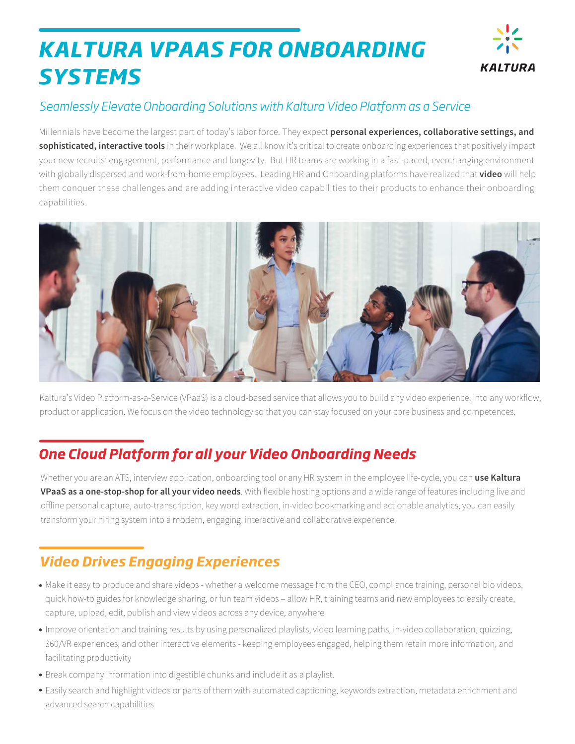# *KALTURA VPAAS FOR ONBOARDING SYSTEMS*



### *Seamlessly Elevate Onboarding Solutions with Kaltura Video Platform as a Service*

Millennials have become the largest part of today's labor force. They expect **personal experiences, collaborative settings, and sophisticated, interactive tools** in their workplace. We all know it's critical to create onboarding experiences that positively impact your new recruits' engagement, performance and longevity. But HR teams are working in a fast-paced, everchanging environment with globally dispersed and work-from-home employees. Leading HR and Onboarding platforms have realized that **video** will help them conquer these challenges and are adding interactive video capabilities to their products to enhance their onboarding capabilities.



Kaltura's Video Platform-as-a-Service (VPaaS) is a cloud-based service that allows you to build any video experience, into any workflow, product or application. We focus on the video technology so that you can stay focused on your core business and competences.

# *One Cloud Platform for all your Video Onboarding Needs*

Whether you are an ATS, interview application, onboarding tool or any HR system in the employee life-cycle, you can **use Kaltura VPaaS as a one-stop-shop for all your video needs**. With flexible hosting options and a wide range of features including live and offline personal capture, auto-transcription, key word extraction, in-video bookmarking and actionable analytics, you can easily transform your hiring system into a modern, engaging, interactive and collaborative experience.

# *Video Drives Engaging Experiences*

- Make it easy to produce and share videos whether a welcome message from the CEO, compliance training, personal bio videos, quick how-to guides for knowledge sharing, or fun team videos – allow HR, training teams and new employees to easily create, capture, upload, edit, publish and view videos across any device, anywhere
- Improve orientation and training results by using personalized playlists, video learning paths, in-video collaboration, quizzing, 360/VR experiences, and other interactive elements - keeping employees engaged, helping them retain more information, and facilitating productivity
- Break company information into digestible chunks and include it as a playlist.
- Easily search and highlight videos or parts of them with automated captioning, keywords extraction, metadata enrichment and advanced search capabilities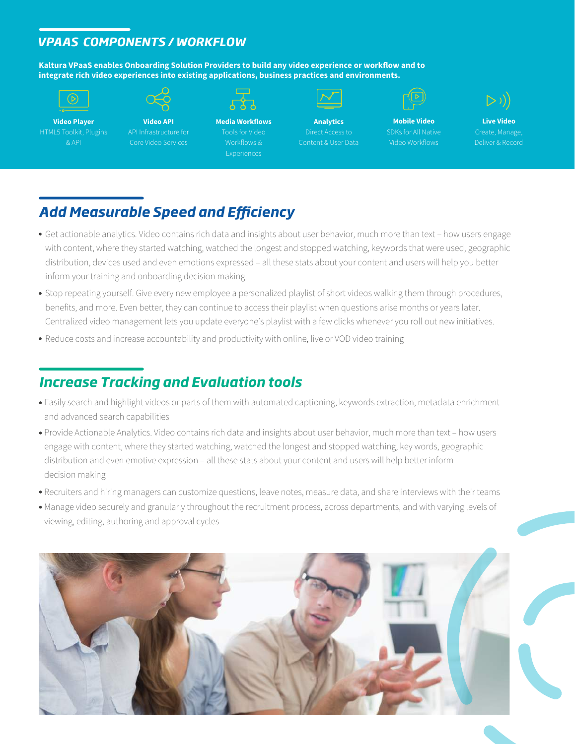#### *VPAAS COMPONENTS / WORKFLOW*

**Kaltura VPaaS enables Onboarding Solution Providers to build any video experience or workflow and to integrate rich video experiences into existing applications, business practices and environments.**



#### **Video Player** HTML5 Toolkit, Plugins & API

**Video API** API Infrastructure for Core Video Services



**Media Workflows** Tools for Video Workflows &

**Analytics** Direct Access to Content & User Data



**Mobile Video** SDKs for All Native Video Workflows



**Live Video** Deliver & Record

# *Add Measurable Speed and Efficiency*

- Get actionable analytics. Video contains rich data and insights about user behavior, much more than text how users engage with content, where they started watching, watched the longest and stopped watching, keywords that were used, geographic distribution, devices used and even emotions expressed – all these stats about your content and users will help you better inform your training and onboarding decision making.
- Stop repeating yourself. Give every new employee a personalized playlist of short videos walking them through procedures, benefits, and more. Even better, they can continue to access their playlist when questions arise months or years later. Centralized video management lets you update everyone's playlist with a few clicks whenever you roll out new initiatives.
- Reduce costs and increase accountability and productivity with online, live or VOD video training

### *Increase Tracking and Evaluation tools*

- Easily search and highlight videos or parts of them with automated captioning, keywords extraction, metadata enrichment and advanced search capabilities
- Provide Actionable Analytics. Video contains rich data and insights about user behavior, much more than text how users engage with content, where they started watching, watched the longest and stopped watching, key words, geographic distribution and even emotive expression – all these stats about your content and users will help better inform decision making
- Recruiters and hiring managers can customize questions, leave notes, measure data, and share interviews with their teams
- Manage video securely and granularly throughout the recruitment process, across departments, and with varying levels of viewing, editing, authoring and approval cycles